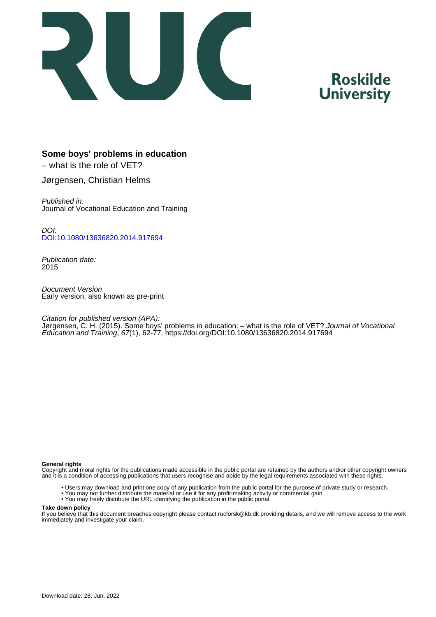

# **Roskilde University**

# **Some boys' problems in education**

– what is the role of VET?

Jørgensen, Christian Helms

Published in: Journal of Vocational Education and Training

DOI: [DOI:10.1080/13636820.2014.917694](https://doi.org/DOI:10.1080/13636820.2014.917694)

Publication date: 2015

Document Version Early version, also known as pre-print

Citation for published version (APA):

Jørgensen, C. H. (2015). Some boys' problems in education: – what is the role of VET? Journal of Vocational Education and Training, 67(1), 62-77.<https://doi.org/DOI:10.1080/13636820.2014.917694>

#### **General rights**

Copyright and moral rights for the publications made accessible in the public portal are retained by the authors and/or other copyright owners and it is a condition of accessing publications that users recognise and abide by the legal requirements associated with these rights.

- Users may download and print one copy of any publication from the public portal for the purpose of private study or research.
- You may not further distribute the material or use it for any profit-making activity or commercial gain.
- You may freely distribute the URL identifying the publication in the public portal.

#### **Take down policy**

If you believe that this document breaches copyright please contact rucforsk@kb.dk providing details, and we will remove access to the work immediately and investigate your claim.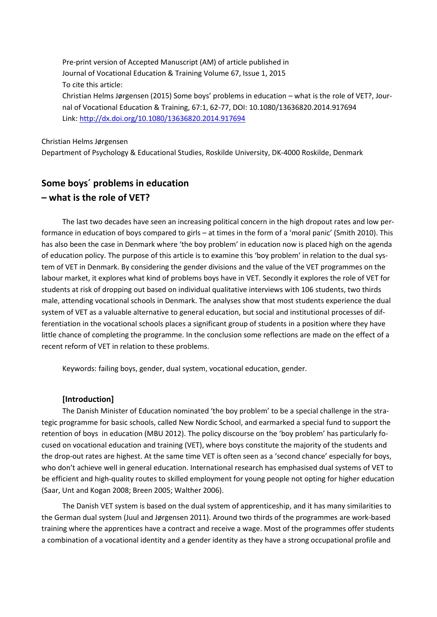Pre-print version of Accepted Manuscript (AM) of article published in Journal of Vocational Education & Training Volume 67, Issue 1, 2015 To cite this article: Christian Helms Jørgensen (2015) Some boys' problems in education – what is the role of VET?, Journal of Vocational Education & Training, 67:1, 62-77, DOI: 10.1080/13636820.2014.917694 Link:<http://dx.doi.org/10.1080/13636820.2014.917694>

Christian Helms Jørgensen

Department of Psychology & Educational Studies, Roskilde University, DK-4000 Roskilde, Denmark

# **Some boys´ problems in education – what is the role of VET?**

The last two decades have seen an increasing political concern in the high dropout rates and low performance in education of boys compared to girls – at times in the form of a 'moral panic' (Smith 2010). This has also been the case in Denmark where 'the boy problem' in education now is placed high on the agenda of education policy. The purpose of this article is to examine this 'boy problem' in relation to the dual system of VET in Denmark. By considering the gender divisions and the value of the VET programmes on the labour market, it explores what kind of problems boys have in VET. Secondly it explores the role of VET for students at risk of dropping out based on individual qualitative interviews with 106 students, two thirds male, attending vocational schools in Denmark. The analyses show that most students experience the dual system of VET as a valuable alternative to general education, but social and institutional processes of differentiation in the vocational schools places a significant group of students in a position where they have little chance of completing the programme. In the conclusion some reflections are made on the effect of a recent reform of VET in relation to these problems.

Keywords: failing boys, gender, dual system, vocational education, gender.

# **[Introduction]**

The Danish Minister of Education nominated 'the boy problem' to be a special challenge in the strategic programme for basic schools, called New Nordic School, and earmarked a special fund to support the retention of boys in education (MBU 2012). The policy discourse on the 'boy problem' has particularly focused on vocational education and training (VET), where boys constitute the majority of the students and the drop-out rates are highest. At the same time VET is often seen as a 'second chance' especially for boys, who don't achieve well in general education. International research has emphasised dual systems of VET to be efficient and high-quality routes to skilled employment for young people not opting for higher education (Saar, Unt and Kogan 2008; Breen 2005; Walther 2006).

The Danish VET system is based on the dual system of apprenticeship, and it has many similarities to the German dual system (Juul and Jørgensen 2011). Around two thirds of the programmes are work-based training where the apprentices have a contract and receive a wage. Most of the programmes offer students a combination of a vocational identity and a gender identity as they have a strong occupational profile and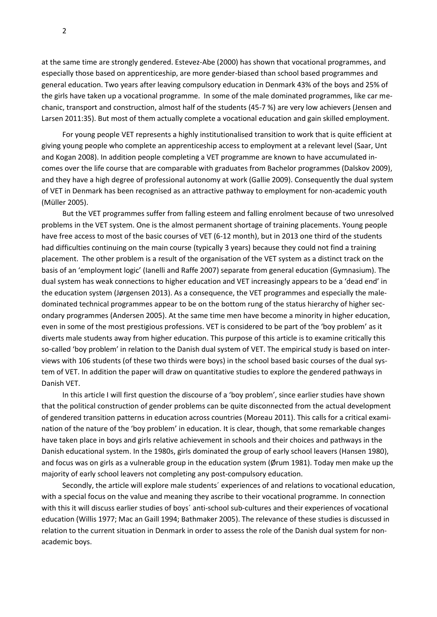at the same time are strongly gendered. Estevez-Abe (2000) has shown that vocational programmes, and especially those based on apprenticeship, are more gender-biased than school based programmes and general education. Two years after leaving compulsory education in Denmark 43% of the boys and 25% of the girls have taken up a vocational programme. In some of the male dominated programmes, like car mechanic, transport and construction, almost half of the students (45-7 %) are very low achievers (Jensen and Larsen 2011:35). But most of them actually complete a vocational education and gain skilled employment.

For young people VET represents a highly institutionalised transition to work that is quite efficient at giving young people who complete an apprenticeship access to employment at a relevant level (Saar, Unt and Kogan 2008). In addition people completing a VET programme are known to have accumulated incomes over the life course that are comparable with graduates from Bachelor programmes (Dalskov 2009), and they have a high degree of professional autonomy at work (Gallie 2009). Consequently the dual system of VET in Denmark has been recognised as an attractive pathway to employment for non-academic youth (Müller 2005).

But the VET programmes suffer from falling esteem and falling enrolment because of two unresolved problems in the VET system. One is the almost permanent shortage of training placements. Young people have free access to most of the basic courses of VET (6-12 month), but in 2013 one third of the students had difficulties continuing on the main course (typically 3 years) because they could not find a training placement. The other problem is a result of the organisation of the VET system as a distinct track on the basis of an 'employment logic' (Ianelli and Raffe 2007) separate from general education (Gymnasium). The dual system has weak connections to higher education and VET increasingly appears to be a 'dead end' in the education system (Jørgensen 2013). As a consequence, the VET programmes and especially the maledominated technical programmes appear to be on the bottom rung of the status hierarchy of higher secondary programmes (Andersen 2005). At the same time men have become a minority in higher education, even in some of the most prestigious professions. VET is considered to be part of the 'boy problem' as it diverts male students away from higher education. This purpose of this article is to examine critically this so-called 'boy problem' in relation to the Danish dual system of VET. The empirical study is based on interviews with 106 students (of these two thirds were boys) in the school based basic courses of the dual system of VET. In addition the paper will draw on quantitative studies to explore the gendered pathways in Danish VET.

In this article I will first question the discourse of a 'boy problem', since earlier studies have shown that the political construction of gender problems can be quite disconnected from the actual development of gendered transition patterns in education across countries (Moreau 2011). This calls for a critical examination of the nature of the 'boy problem' in education. It is clear, though, that some remarkable changes have taken place in boys and girls relative achievement in schools and their choices and pathways in the Danish educational system. In the 1980s, girls dominated the group of early school leavers (Hansen 1980), and focus was on girls as a vulnerable group in the education system (Ørum 1981). Today men make up the majority of early school leavers not completing any post-compulsory education.

Secondly, the article will explore male students´ experiences of and relations to vocational education, with a special focus on the value and meaning they ascribe to their vocational programme. In connection with this it will discuss earlier studies of boys´ anti-school sub-cultures and their experiences of vocational education (Willis 1977; Mac an Gaill 1994; Bathmaker 2005). The relevance of these studies is discussed in relation to the current situation in Denmark in order to assess the role of the Danish dual system for nonacademic boys.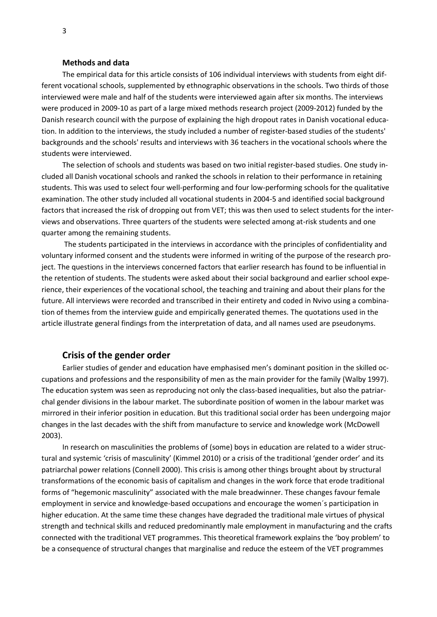## **Methods and data**

The empirical data for this article consists of 106 individual interviews with students from eight different vocational schools, supplemented by ethnographic observations in the schools. Two thirds of those interviewed were male and half of the students were interviewed again after six months. The interviews were produced in 2009-10 as part of a large mixed methods research project (2009-2012) funded by the Danish research council with the purpose of explaining the high dropout rates in Danish vocational education. In addition to the interviews, the study included a number of register-based studies of the students' backgrounds and the schools' results and interviews with 36 teachers in the vocational schools where the students were interviewed.

The selection of schools and students was based on two initial register-based studies. One study included all Danish vocational schools and ranked the schools in relation to their performance in retaining students. This was used to select four well-performing and four low-performing schools for the qualitative examination. The other study included all vocational students in 2004-5 and identified social background factors that increased the risk of dropping out from VET; this was then used to select students for the interviews and observations. Three quarters of the students were selected among at-risk students and one quarter among the remaining students.

The students participated in the interviews in accordance with the principles of confidentiality and voluntary informed consent and the students were informed in writing of the purpose of the research project. The questions in the interviews concerned factors that earlier research has found to be influential in the retention of students. The students were asked about their social background and earlier school experience, their experiences of the vocational school, the teaching and training and about their plans for the future. All interviews were recorded and transcribed in their entirety and coded in Nvivo using a combination of themes from the interview guide and empirically generated themes. The quotations used in the article illustrate general findings from the interpretation of data, and all names used are pseudonyms.

# **Crisis of the gender order**

Earlier studies of gender and education have emphasised men's dominant position in the skilled occupations and professions and the responsibility of men as the main provider for the family (Walby 1997). The education system was seen as reproducing not only the class-based inequalities, but also the patriarchal gender divisions in the labour market. The subordinate position of women in the labour market was mirrored in their inferior position in education. But this traditional social order has been undergoing major changes in the last decades with the shift from manufacture to service and knowledge work (McDowell 2003).

In research on masculinities the problems of (some) boys in education are related to a wider structural and systemic 'crisis of masculinity' (Kimmel 2010) or a crisis of the traditional 'gender order' and its patriarchal power relations (Connell 2000). This crisis is among other things brought about by structural transformations of the economic basis of capitalism and changes in the work force that erode traditional forms of "hegemonic masculinity" associated with the male breadwinner. These changes favour female employment in service and knowledge-based occupations and encourage the women´s participation in higher education. At the same time these changes have degraded the traditional male virtues of physical strength and technical skills and reduced predominantly male employment in manufacturing and the crafts connected with the traditional VET programmes. This theoretical framework explains the 'boy problem' to be a consequence of structural changes that marginalise and reduce the esteem of the VET programmes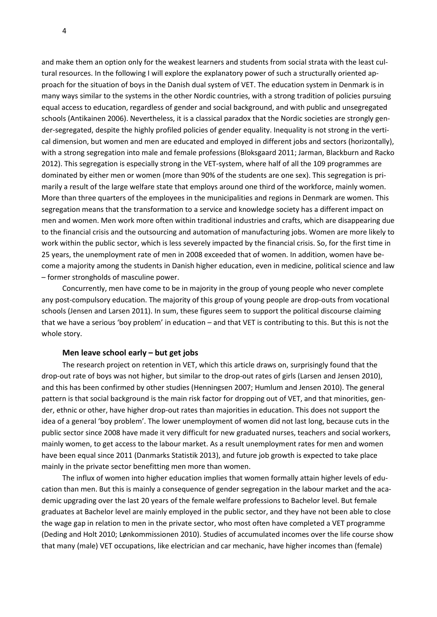and make them an option only for the weakest learners and students from social strata with the least cultural resources. In the following I will explore the explanatory power of such a structurally oriented approach for the situation of boys in the Danish dual system of VET. The education system in Denmark is in many ways similar to the systems in the other Nordic countries, with a strong tradition of policies pursuing equal access to education, regardless of gender and social background, and with public and unsegregated schools (Antikainen 2006). Nevertheless, it is a classical paradox that the Nordic societies are strongly gender-segregated, despite the highly profiled policies of gender equality. Inequality is not strong in the vertical dimension, but women and men are educated and employed in different jobs and sectors (horizontally), with a strong segregation into male and female professions (Bloksgaard 2011; Jarman, Blackburn and Racko 2012). This segregation is especially strong in the VET-system, where half of all the 109 programmes are dominated by either men or women (more than 90% of the students are one sex). This segregation is primarily a result of the large welfare state that employs around one third of the workforce, mainly women. More than three quarters of the employees in the municipalities and regions in Denmark are women. This segregation means that the transformation to a service and knowledge society has a different impact on men and women. Men work more often within traditional industries and crafts, which are disappearing due to the financial crisis and the outsourcing and automation of manufacturing jobs. Women are more likely to work within the public sector, which is less severely impacted by the financial crisis. So, for the first time in 25 years, the unemployment rate of men in 2008 exceeded that of women. In addition, women have become a majority among the students in Danish higher education, even in medicine, political science and law – former strongholds of masculine power.

Concurrently, men have come to be in majority in the group of young people who never complete any post-compulsory education. The majority of this group of young people are drop-outs from vocational schools (Jensen and Larsen 2011). In sum, these figures seem to support the political discourse claiming that we have a serious 'boy problem' in education – and that VET is contributing to this. But this is not the whole story.

#### **Men leave school early – but get jobs**

The research project on retention in VET, which this article draws on, surprisingly found that the drop-out rate of boys was not higher, but similar to the drop-out rates of girls (Larsen and Jensen 2010), and this has been confirmed by other studies (Henningsen 2007; Humlum and Jensen 2010). The general pattern is that social background is the main risk factor for dropping out of VET, and that minorities, gender, ethnic or other, have higher drop-out rates than majorities in education. This does not support the idea of a general 'boy problem'. The lower unemployment of women did not last long, because cuts in the public sector since 2008 have made it very difficult for new graduated nurses, teachers and social workers, mainly women, to get access to the labour market. As a result unemployment rates for men and women have been equal since 2011 (Danmarks Statistik 2013), and future job growth is expected to take place mainly in the private sector benefitting men more than women.

The influx of women into higher education implies that women formally attain higher levels of education than men. But this is mainly a consequence of gender segregation in the labour market and the academic upgrading over the last 20 years of the female welfare professions to Bachelor level. But female graduates at Bachelor level are mainly employed in the public sector, and they have not been able to close the wage gap in relation to men in the private sector, who most often have completed a VET programme (Deding and Holt 2010; Lønkommissionen 2010). Studies of accumulated incomes over the life course show that many (male) VET occupations, like electrician and car mechanic, have higher incomes than (female)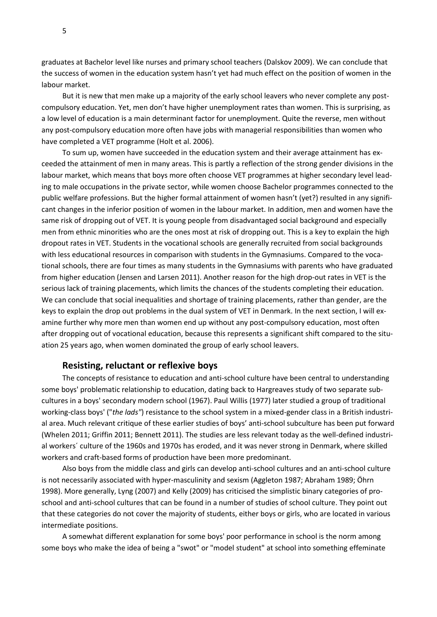graduates at Bachelor level like nurses and primary school teachers (Dalskov 2009). We can conclude that the success of women in the education system hasn't yet had much effect on the position of women in the labour market.

But it is new that men make up a majority of the early school leavers who never complete any postcompulsory education. Yet, men don't have higher unemployment rates than women. This is surprising, as a low level of education is a main determinant factor for unemployment. Quite the reverse, men without any post-compulsory education more often have jobs with managerial responsibilities than women who have completed a VET programme (Holt et al. 2006).

To sum up, women have succeeded in the education system and their average attainment has exceeded the attainment of men in many areas. This is partly a reflection of the strong gender divisions in the labour market, which means that boys more often choose VET programmes at higher secondary level leading to male occupations in the private sector, while women choose Bachelor programmes connected to the public welfare professions. But the higher formal attainment of women hasn't (yet?) resulted in any significant changes in the inferior position of women in the labour market. In addition, men and women have the same risk of dropping out of VET. It is young people from disadvantaged social background and especially men from ethnic minorities who are the ones most at risk of dropping out. This is a key to explain the high dropout rates in VET. Students in the vocational schools are generally recruited from social backgrounds with less educational resources in comparison with students in the Gymnasiums. Compared to the vocational schools, there are four times as many students in the Gymnasiums with parents who have graduated from higher education (Jensen and Larsen 2011). Another reason for the high drop-out rates in VET is the serious lack of training placements, which limits the chances of the students completing their education. We can conclude that social inequalities and shortage of training placements, rather than gender, are the keys to explain the drop out problems in the dual system of VET in Denmark. In the next section, I will examine further why more men than women end up without any post-compulsory education, most often after dropping out of vocational education, because this represents a significant shift compared to the situation 25 years ago, when women dominated the group of early school leavers.

# **Resisting, reluctant or reflexive boys**

The concepts of resistance to education and anti-school culture have been central to understanding some boys' problematic relationship to education, dating back to Hargreaves study of two separate subcultures in a boys' secondary modern school (1967). Paul Willis (1977) later studied a group of traditional working-class boys' ("*the lads"*) resistance to the school system in a mixed-gender class in a British industrial area. Much relevant critique of these earlier studies of boys' anti-school subculture has been put forward (Whelen 2011; Griffin 2011; Bennett 2011). The studies are less relevant today as the well-defined industrial workers´ culture of the 1960s and 1970s has eroded, and it was never strong in Denmark, where skilled workers and craft-based forms of production have been more predominant.

Also boys from the middle class and girls can develop anti-school cultures and an anti-school culture is not necessarily associated with hyper-masculinity and sexism (Aggleton 1987; Abraham 1989; Öhrn 1998). More generally, Lyng (2007) and Kelly (2009) has criticised the simplistic binary categories of proschool and anti-school cultures that can be found in a number of studies of school culture. They point out that these categories do not cover the majority of students, either boys or girls, who are located in various intermediate positions.

A somewhat different explanation for some boys' poor performance in school is the norm among some boys who make the idea of being a "swot" or "model student" at school into something effeminate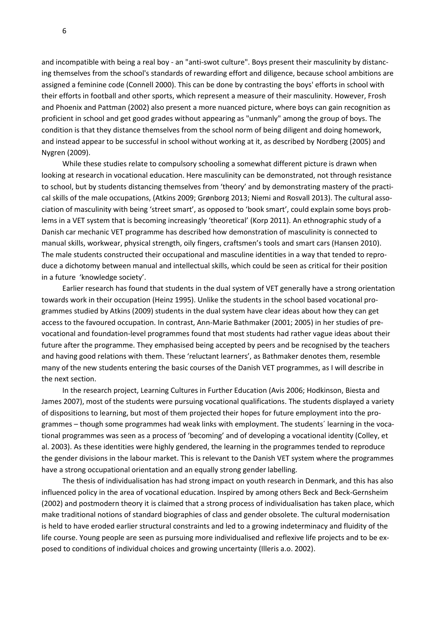and incompatible with being a real boy - an "anti-swot culture". Boys present their masculinity by distancing themselves from the school's standards of rewarding effort and diligence, because school ambitions are assigned a feminine code (Connell 2000). This can be done by contrasting the boys' efforts in school with their efforts in football and other sports, which represent a measure of their masculinity. However, Frosh and Phoenix and Pattman (2002) also present a more nuanced picture, where boys can gain recognition as proficient in school and get good grades without appearing as "unmanly" among the group of boys. The condition is that they distance themselves from the school norm of being diligent and doing homework, and instead appear to be successful in school without working at it, as described by Nordberg (2005) and Nygren (2009).

While these studies relate to compulsory schooling a somewhat different picture is drawn when looking at research in vocational education. Here masculinity can be demonstrated, not through resistance to school, but by students distancing themselves from 'theory' and by demonstrating mastery of the practical skills of the male occupations, (Atkins 2009; Grønborg 2013; Niemi and Rosvall 2013). The cultural association of masculinity with being 'street smart', as opposed to 'book smart', could explain some boys problems in a VET system that is becoming increasingly 'theoretical' (Korp 2011). An ethnographic study of a Danish car mechanic VET programme has described how demonstration of masculinity is connected to manual skills, workwear, physical strength, oily fingers, craftsmen's tools and smart cars (Hansen 2010). The male students constructed their occupational and masculine identities in a way that tended to reproduce a dichotomy between manual and intellectual skills, which could be seen as critical for their position in a future 'knowledge society'.

Earlier research has found that students in the dual system of VET generally have a strong orientation towards work in their occupation (Heinz 1995). Unlike the students in the school based vocational programmes studied by Atkins (2009) students in the dual system have clear ideas about how they can get access to the favoured occupation. In contrast, Ann-Marie Bathmaker (2001; 2005) in her studies of prevocational and foundation-level programmes found that most students had rather vague ideas about their future after the programme. They emphasised being accepted by peers and be recognised by the teachers and having good relations with them. These 'reluctant learners', as Bathmaker denotes them, resemble many of the new students entering the basic courses of the Danish VET programmes, as I will describe in the next section.

In the research project, Learning Cultures in Further Education (Avis 2006; Hodkinson, Biesta and James 2007), most of the students were pursuing vocational qualifications. The students displayed a variety of dispositions to learning, but most of them projected their hopes for future employment into the programmes – though some programmes had weak links with employment. The students´ learning in the vocational programmes was seen as a process of 'becoming' and of developing a vocational identity (Colley, et al. 2003). As these identities were highly gendered, the learning in the programmes tended to reproduce the gender divisions in the labour market. This is relevant to the Danish VET system where the programmes have a strong occupational orientation and an equally strong gender labelling.

The thesis of individualisation has had strong impact on youth research in Denmark, and this has also influenced policy in the area of vocational education. Inspired by among others Beck and Beck-Gernsheim (2002) and postmodern theory it is claimed that a strong process of individualisation has taken place, which make traditional notions of standard biographies of class and gender obsolete. The cultural modernisation is held to have eroded earlier structural constraints and led to a growing indeterminacy and fluidity of the life course. Young people are seen as pursuing more individualised and reflexive life projects and to be exposed to conditions of individual choices and growing uncertainty (Illeris a.o. 2002).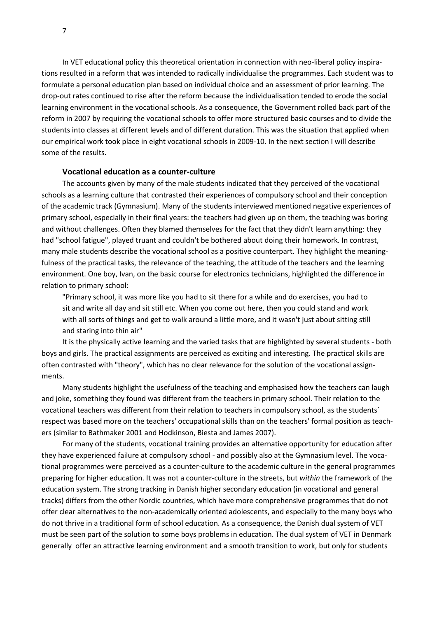In VET educational policy this theoretical orientation in connection with neo-liberal policy inspirations resulted in a reform that was intended to radically individualise the programmes. Each student was to formulate a personal education plan based on individual choice and an assessment of prior learning. The drop-out rates continued to rise after the reform because the individualisation tended to erode the social learning environment in the vocational schools. As a consequence, the Government rolled back part of the reform in 2007 by requiring the vocational schools to offer more structured basic courses and to divide the students into classes at different levels and of different duration. This was the situation that applied when our empirical work took place in eight vocational schools in 2009-10. In the next section I will describe some of the results.

# **Vocational education as a counter-culture**

The accounts given by many of the male students indicated that they perceived of the vocational schools as a learning culture that contrasted their experiences of compulsory school and their conception of the academic track (Gymnasium). Many of the students interviewed mentioned negative experiences of primary school, especially in their final years: the teachers had given up on them, the teaching was boring and without challenges. Often they blamed themselves for the fact that they didn't learn anything: they had "school fatigue", played truant and couldn't be bothered about doing their homework. In contrast, many male students describe the vocational school as a positive counterpart. They highlight the meaningfulness of the practical tasks, the relevance of the teaching, the attitude of the teachers and the learning environment. One boy, Ivan, on the basic course for electronics technicians, highlighted the difference in relation to primary school:

"Primary school, it was more like you had to sit there for a while and do exercises, you had to sit and write all day and sit still etc. When you come out here, then you could stand and work with all sorts of things and get to walk around a little more, and it wasn't just about sitting still and staring into thin air"

It is the physically active learning and the varied tasks that are highlighted by several students - both boys and girls. The practical assignments are perceived as exciting and interesting. The practical skills are often contrasted with "theory", which has no clear relevance for the solution of the vocational assignments.

Many students highlight the usefulness of the teaching and emphasised how the teachers can laugh and joke, something they found was different from the teachers in primary school. Their relation to the vocational teachers was different from their relation to teachers in compulsory school, as the students´ respect was based more on the teachers' occupational skills than on the teachers' formal position as teachers (similar to Bathmaker 2001 and Hodkinson, Biesta and James 2007).

For many of the students, vocational training provides an alternative opportunity for education after they have experienced failure at compulsory school - and possibly also at the Gymnasium level. The vocational programmes were perceived as a counter-culture to the academic culture in the general programmes preparing for higher education. It was not a counter-culture in the streets, but *within* the framework of the education system. The strong tracking in Danish higher secondary education (in vocational and general tracks) differs from the other Nordic countries, which have more comprehensive programmes that do not offer clear alternatives to the non-academically oriented adolescents, and especially to the many boys who do not thrive in a traditional form of school education. As a consequence, the Danish dual system of VET must be seen part of the solution to some boys problems in education. The dual system of VET in Denmark generally offer an attractive learning environment and a smooth transition to work, but only for students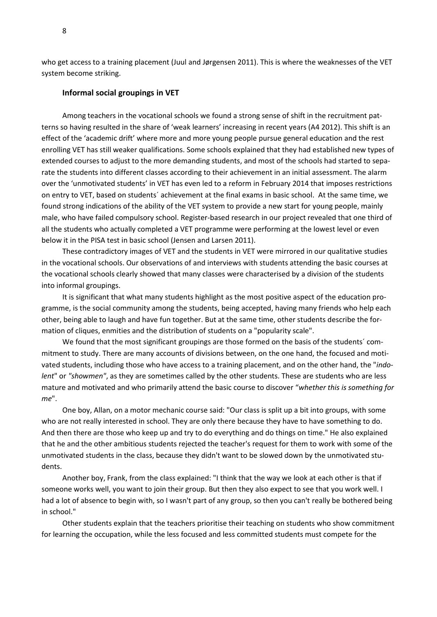who get access to a training placement (Juul and Jørgensen 2011). This is where the weaknesses of the VET system become striking.

# **Informal social groupings in VET**

Among teachers in the vocational schools we found a strong sense of shift in the recruitment patterns so having resulted in the share of 'weak learners' increasing in recent years (A4 2012). This shift is an effect of the 'academic drift' where more and more young people pursue general education and the rest enrolling VET has still weaker qualifications. Some schools explained that they had established new types of extended courses to adjust to the more demanding students, and most of the schools had started to separate the students into different classes according to their achievement in an initial assessment. The alarm over the 'unmotivated students' in VET has even led to a reform in February 2014 that imposes restrictions on entry to VET, based on students´ achievement at the final exams in basic school. At the same time, we found strong indications of the ability of the VET system to provide a new start for young people, mainly male, who have failed compulsory school. Register-based research in our project revealed that one third of all the students who actually completed a VET programme were performing at the lowest level or even below it in the PISA test in basic school (Jensen and Larsen 2011).

These contradictory images of VET and the students in VET were mirrored in our qualitative studies in the vocational schools. Our observations of and interviews with students attending the basic courses at the vocational schools clearly showed that many classes were characterised by a division of the students into informal groupings.

It is significant that what many students highlight as the most positive aspect of the education programme, is the social community among the students, being accepted, having many friends who help each other, being able to laugh and have fun together. But at the same time, other students describe the formation of cliques, enmities and the distribution of students on a "popularity scale".

We found that the most significant groupings are those formed on the basis of the students´ commitment to study. There are many accounts of divisions between, on the one hand, the focused and motivated students, including those who have access to a training placement, and on the other hand, the "*indolent*" or *"showmen"*, as they are sometimes called by the other students. These are students who are less mature and motivated and who primarily attend the basic course to discover "*whether this is something for me*".

One boy, Allan, on a motor mechanic course said: "Our class is split up a bit into groups, with some who are not really interested in school. They are only there because they have to have something to do. And then there are those who keep up and try to do everything and do things on time." He also explained that he and the other ambitious students rejected the teacher's request for them to work with some of the unmotivated students in the class, because they didn't want to be slowed down by the unmotivated students.

Another boy, Frank, from the class explained: "I think that the way we look at each other is that if someone works well, you want to join their group. But then they also expect to see that you work well. I had a lot of absence to begin with, so I wasn't part of any group, so then you can't really be bothered being in school."

Other students explain that the teachers prioritise their teaching on students who show commitment for learning the occupation, while the less focused and less committed students must compete for the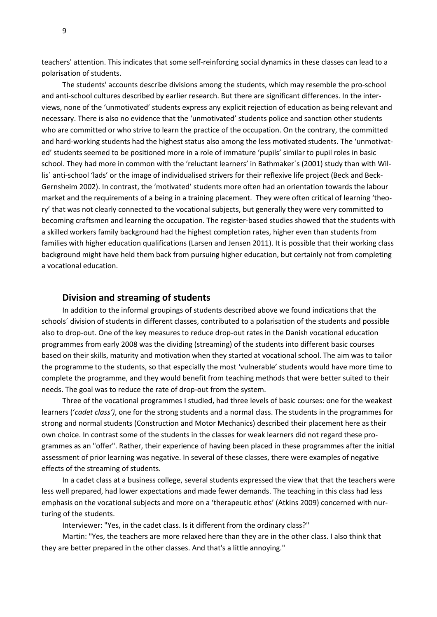teachers' attention. This indicates that some self-reinforcing social dynamics in these classes can lead to a polarisation of students.

The students' accounts describe divisions among the students, which may resemble the pro-school and anti-school cultures described by earlier research. But there are significant differences. In the interviews, none of the 'unmotivated' students express any explicit rejection of education as being relevant and necessary. There is also no evidence that the 'unmotivated' students police and sanction other students who are committed or who strive to learn the practice of the occupation. On the contrary, the committed and hard-working students had the highest status also among the less motivated students. The 'unmotivated' students seemed to be positioned more in a role of immature 'pupils' similar to pupil roles in basic school. They had more in common with the 'reluctant learners' in Bathmaker´s (2001) study than with Willis´ anti-school 'lads' or the image of individualised strivers for their reflexive life project (Beck and Beck-Gernsheim 2002). In contrast, the 'motivated' students more often had an orientation towards the labour market and the requirements of a being in a training placement. They were often critical of learning 'theory' that was not clearly connected to the vocational subjects, but generally they were very committed to becoming craftsmen and learning the occupation. The register-based studies showed that the students with a skilled workers family background had the highest completion rates, higher even than students from families with higher education qualifications (Larsen and Jensen 2011). It is possible that their working class background might have held them back from pursuing higher education, but certainly not from completing a vocational education.

## **Division and streaming of students**

In addition to the informal groupings of students described above we found indications that the schools´ division of students in different classes, contributed to a polarisation of the students and possible also to drop-out. One of the key measures to reduce drop-out rates in the Danish vocational education programmes from early 2008 was the dividing (streaming) of the students into different basic courses based on their skills, maturity and motivation when they started at vocational school. The aim was to tailor the programme to the students, so that especially the most 'vulnerable' students would have more time to complete the programme, and they would benefit from teaching methods that were better suited to their needs. The goal was to reduce the rate of drop-out from the system.

Three of the vocational programmes I studied, had three levels of basic courses: one for the weakest learners ('*cadet class')*, one for the strong students and a normal class. The students in the programmes for strong and normal students (Construction and Motor Mechanics) described their placement here as their own choice. In contrast some of the students in the classes for weak learners did not regard these programmes as an "offer". Rather, their experience of having been placed in these programmes after the initial assessment of prior learning was negative. In several of these classes, there were examples of negative effects of the streaming of students.

In a cadet class at a business college, several students expressed the view that that the teachers were less well prepared, had lower expectations and made fewer demands. The teaching in this class had less emphasis on the vocational subjects and more on a 'therapeutic ethos' (Atkins 2009) concerned with nurturing of the students.

Interviewer: "Yes, in the cadet class. Is it different from the ordinary class?"

Martin: "Yes, the teachers are more relaxed here than they are in the other class. I also think that they are better prepared in the other classes. And that's a little annoying."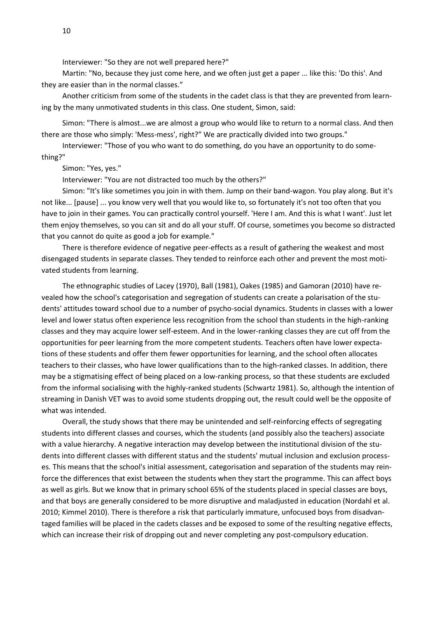Interviewer: "So they are not well prepared here?"

Martin: "No, because they just come here, and we often just get a paper ... like this: 'Do this'. And they are easier than in the normal classes."

Another criticism from some of the students in the cadet class is that they are prevented from learning by the many unmotivated students in this class. One student, Simon, said:

Simon: "There is almost...we are almost a group who would like to return to a normal class. And then there are those who simply: 'Mess-mess', right?" We are practically divided into two groups."

Interviewer: "Those of you who want to do something, do you have an opportunity to do something?"

Simon: "Yes, yes."

Interviewer: "You are not distracted too much by the others?"

Simon: "It's like sometimes you join in with them. Jump on their band-wagon. You play along. But it's not like... [pause] ... you know very well that you would like to, so fortunately it's not too often that you have to join in their games. You can practically control yourself. 'Here I am. And this is what I want'. Just let them enjoy themselves, so you can sit and do all your stuff. Of course, sometimes you become so distracted that you cannot do quite as good a job for example."

There is therefore evidence of negative peer-effects as a result of gathering the weakest and most disengaged students in separate classes. They tended to reinforce each other and prevent the most motivated students from learning.

The ethnographic studies of Lacey (1970), Ball (1981), Oakes (1985) and Gamoran (2010) have revealed how the school's categorisation and segregation of students can create a polarisation of the students' attitudes toward school due to a number of psycho-social dynamics. Students in classes with a lower level and lower status often experience less recognition from the school than students in the high-ranking classes and they may acquire lower self-esteem. And in the lower-ranking classes they are cut off from the opportunities for peer learning from the more competent students. Teachers often have lower expectations of these students and offer them fewer opportunities for learning, and the school often allocates teachers to their classes, who have lower qualifications than to the high-ranked classes. In addition, there may be a stigmatising effect of being placed on a low-ranking process, so that these students are excluded from the informal socialising with the highly-ranked students (Schwartz 1981). So, although the intention of streaming in Danish VET was to avoid some students dropping out, the result could well be the opposite of what was intended.

Overall, the study shows that there may be unintended and self-reinforcing effects of segregating students into different classes and courses, which the students (and possibly also the teachers) associate with a value hierarchy. A negative interaction may develop between the institutional division of the students into different classes with different status and the students' mutual inclusion and exclusion processes. This means that the school's initial assessment, categorisation and separation of the students may reinforce the differences that exist between the students when they start the programme. This can affect boys as well as girls. But we know that in primary school 65% of the students placed in special classes are boys, and that boys are generally considered to be more disruptive and maladjusted in education (Nordahl et al. 2010; Kimmel 2010). There is therefore a risk that particularly immature, unfocused boys from disadvantaged families will be placed in the cadets classes and be exposed to some of the resulting negative effects, which can increase their risk of dropping out and never completing any post-compulsory education.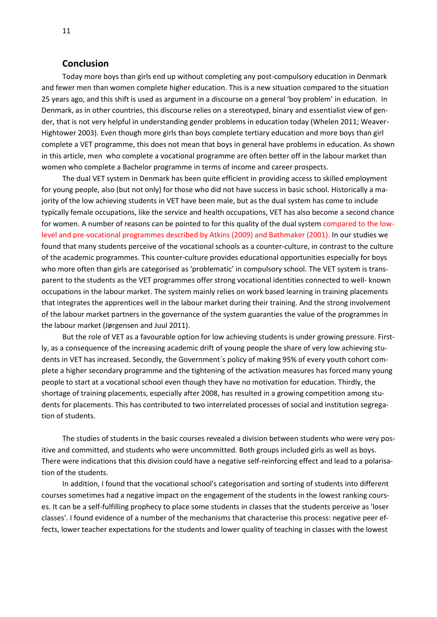# **Conclusion**

Today more boys than girls end up without completing any post-compulsory education in Denmark and fewer men than women complete higher education. This is a new situation compared to the situation 25 years ago, and this shift is used as argument in a discourse on a general 'boy problem' in education. In Denmark, as in other countries, this discourse relies on a stereotyped, binary and essentialist view of gender, that is not very helpful in understanding gender problems in education today (Whelen 2011; Weaver-Hightower 2003). Even though more girls than boys complete tertiary education and more boys than girl complete a VET programme, this does not mean that boys in general have problems in education. As shown in this article, men who complete a vocational programme are often better off in the labour market than women who complete a Bachelor programme in terms of income and career prospects.

The dual VET system in Denmark has been quite efficient in providing access to skilled employment for young people, also (but not only) for those who did not have success in basic school. Historically a majority of the low achieving students in VET have been male, but as the dual system has come to include typically female occupations, like the service and health occupations, VET has also become a second chance for women. A number of reasons can be pointed to for this quality of the dual system compared to the lowlevel and pre-vocational programmes described by Atkins (2009) and Bathmaker (2001). In our studies we found that many students perceive of the vocational schools as a counter-culture, in contrast to the culture of the academic programmes. This counter-culture provides educational opportunities especially for boys who more often than girls are categorised as 'problematic' in compulsory school. The VET system is transparent to the students as the VET programmes offer strong vocational identities connected to well- known occupations in the labour market. The system mainly relies on work based learning in training placements that integrates the apprentices well in the labour market during their training. And the strong involvement of the labour market partners in the governance of the system guaranties the value of the programmes in the labour market (Jørgensen and Juul 2011).

But the role of VET as a favourable option for low achieving students is under growing pressure. Firstly, as a consequence of the increasing academic drift of young people the share of very low achieving students in VET has increased. Secondly, the Government´s policy of making 95% of every youth cohort complete a higher secondary programme and the tightening of the activation measures has forced many young people to start at a vocational school even though they have no motivation for education. Thirdly, the shortage of training placements, especially after 2008, has resulted in a growing competition among students for placements. This has contributed to two interrelated processes of social and institution segregation of students.

The studies of students in the basic courses revealed a division between students who were very positive and committed, and students who were uncommitted. Both groups included girls as well as boys. There were indications that this division could have a negative self-reinforcing effect and lead to a polarisation of the students.

In addition, I found that the vocational school's categorisation and sorting of students into different courses sometimes had a negative impact on the engagement of the students in the lowest ranking courses. It can be a self-fulfilling prophecy to place some students in classes that the students perceive as 'loser classes'. I found evidence of a number of the mechanisms that characterise this process: negative peer effects, lower teacher expectations for the students and lower quality of teaching in classes with the lowest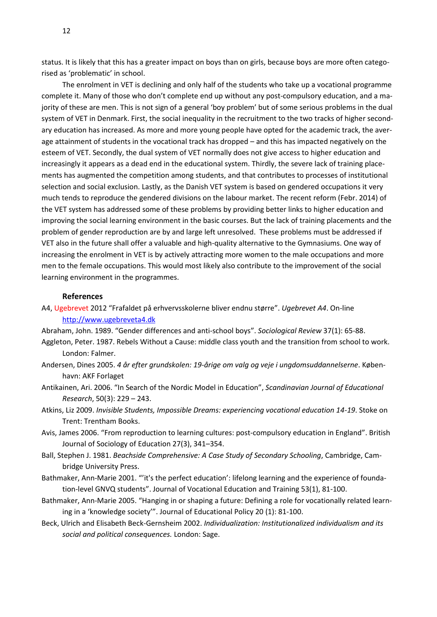status. It is likely that this has a greater impact on boys than on girls, because boys are more often categorised as 'problematic' in school.

The enrolment in VET is declining and only half of the students who take up a vocational programme complete it. Many of those who don't complete end up without any post-compulsory education, and a majority of these are men. This is not sign of a general 'boy problem' but of some serious problems in the dual system of VET in Denmark. First, the social inequality in the recruitment to the two tracks of higher secondary education has increased. As more and more young people have opted for the academic track, the average attainment of students in the vocational track has dropped – and this has impacted negatively on the esteem of VET. Secondly, the dual system of VET normally does not give access to higher education and increasingly it appears as a dead end in the educational system. Thirdly, the severe lack of training placements has augmented the competition among students, and that contributes to processes of institutional selection and social exclusion. Lastly, as the Danish VET system is based on gendered occupations it very much tends to reproduce the gendered divisions on the labour market. The recent reform (Febr. 2014) of the VET system has addressed some of these problems by providing better links to higher education and improving the social learning environment in the basic courses. But the lack of training placements and the problem of gender reproduction are by and large left unresolved. These problems must be addressed if VET also in the future shall offer a valuable and high-quality alternative to the Gymnasiums. One way of increasing the enrolment in VET is by actively attracting more women to the male occupations and more men to the female occupations. This would most likely also contribute to the improvement of the social learning environment in the programmes.

#### **References**

- A4, Ugebrevet 2012 "Frafaldet på erhvervsskolerne bliver endnu større". *Ugebrevet A4*. On-line [http://www.ugebreveta4.dk](http://www.ugebreveta4.dk/)
- Abraham, John. 1989. "Gender differences and anti‐school boys". *Sociological Review* 37(1): 65-88.
- Aggleton, Peter. 1987. Rebels Without a Cause: middle class youth and the transition from school to work. London: Falmer.
- Andersen, Dines 2005. *4 år efter grundskolen: 19-årige om valg og veje i ungdomsuddannelserne*. København: AKF Forlaget
- Antikainen, Ari. 2006. "In Search of the Nordic Model in Education", *Scandinavian Journal of Educational Research*, 50(3): 229 – 243.
- Atkins, Liz 2009. *Invisible Students, Impossible Dreams: experiencing vocational education 14-19*. Stoke on Trent: Trentham Books.
- Avis, James 2006. "From reproduction to learning cultures: post-compulsory education in England". British Journal of Sociology of Education 27(3), 341–354.
- Ball, Stephen J. 1981. *Beachside Comprehensive: A Case Study of Secondary Schooling*, Cambridge, Cambridge University Press.
- Bathmaker, Ann-Marie 2001. "'it's the perfect education': lifelong learning and the experience of foundation-level GNVQ students". Journal of Vocational Education and Training 53(1), 81-100.
- Bathmaker, Ann-Marie 2005. "Hanging in or shaping a future: Defining a role for vocationally related learning in a 'knowledge society'". Journal of Educational Policy 20 (1): 81-100.
- Beck, Ulrich and Elisabeth Beck-Gernsheim 2002. *Individualization: Institutionalized individualism and its social and political consequences.* London: Sage.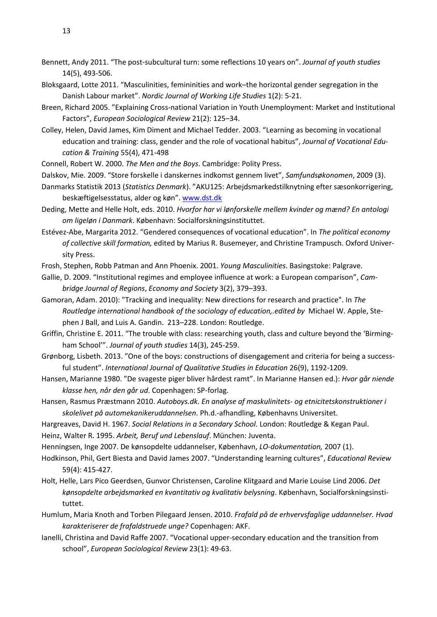- Bennett, Andy 2011. "The post-subcultural turn: some reflections 10 years on". *Journal of youth studies* 14(5), 493-506.
- Bloksgaard, Lotte 2011. "Masculinities, femininities and work–the horizontal gender segregation in the Danish Labour market". *Nordic Journal of Working Life Studies* 1(2): 5-21.
- Breen, Richard 2005. "Explaining Cross‐national Variation in Youth Unemployment: Market and Institutional Factors", *European Sociological Review* 21(2): 125–34.
- Colley, Helen, David James, Kim Diment and Michael Tedder. 2003. "Learning as becoming in vocational education and training: class, gender and the role of vocational habitus", *Journal of Vocational Education & Training* 55(4), 471-498
- Connell, Robert W. 2000. *The Men and the Boys*. Cambridge: Polity Press.
- Dalskov, Mie. 2009. "Store forskelle i danskernes indkomst gennem livet", *Samfundsøkonomen*, 2009 (3).
- Danmarks Statistik 2013 (*Statistics Denmark*). "AKU125: Arbejdsmarkedstilknytning efter sæsonkorrigering, beskæftigelsesstatus, alder og køn"[. www.dst.dk](http://www.dst.dk/)
- Deding, Mette and Helle Holt, eds. 2010. *Hvorfor har vi lønforskelle mellem kvinder og mænd? En antologi om ligeløn i Danmark*. København: Socialforskningsinstituttet.
- Estévez-Abe, Margarita 2012. "Gendered consequences of vocational education". In *The political economy of collective skill formation,* edited by Marius R. Busemeyer, and Christine Trampusch. Oxford University Press.
- Frosh, Stephen, Robb Patman and Ann Phoenix. 2001. *Young Masculinities*. Basingstoke: Palgrave.
- Gallie, D. 2009. "Institutional regimes and employee influence at work: a European comparison", *Cambridge Journal of Regions*, *Economy and Society* 3(2), 379–393.
- Gamoran, Adam. 2010): "Tracking and inequality: New directions for research and practice". In *The Routledge international handbook of the sociology of education,.edited by* Michael W. Apple, Stephen J Ball, and Luis A. Gandin. 213–228. London: Routledge.
- Griffin, Christine E. 2011. "The trouble with class: researching youth, class and culture beyond the 'Birmingham School'". *Journal of youth studies* 14(3), 245-259.
- Grønborg, Lisbeth. 2013. "One of the boys: constructions of disengagement and criteria for being a successful student". *International Journal of Qualitative Studies in Education* 26(9), 1192-1209.
- Hansen, Marianne 1980. "De svageste piger bliver hårdest ramt". In Marianne Hansen ed.): *Hvor går niende klasse hen, når den går ud*. Copenhagen: SP-forlag.
- Hansen, Rasmus Præstmann 2010. *Autoboys.dk. En analyse af maskulinitets- og etnicitetskonstruktioner i skolelivet på automekanikeruddannelsen*. Ph.d.-afhandling, Københavns Universitet.
- Hargreaves, David H. 1967. *Social Relations in a Secondary School*. London: Routledge & Kegan Paul.
- Heinz, Walter R. 1995. *Arbeit, Beruf und Lebenslauf*. München: Juventa.
- Henningsen, Inge 2007. De kønsopdelte uddannelser, København, *LO-dokumentation,* 2007 (1).
- Hodkinson, Phil, Gert Biesta and David James 2007. "Understanding learning cultures", *Educational Review* 59(4): 415-427.
- Holt, Helle, Lars Pico Geerdsen, Gunvor Christensen, Caroline Klitgaard and Marie Louise Lind 2006. *Det kønsopdelte arbejdsmarked en kvantitativ og kvalitativ belysning*. København, Socialforskningsinstituttet.
- Humlum, Maria Knoth and Torben Pilegaard Jensen. 2010. *Frafald på de erhvervsfaglige uddannelser. Hvad karakteriserer de frafaldstruede unge?* Copenhagen: AKF.
- Ianelli, Christina and David Raffe 2007. "Vocational upper‐secondary education and the transition from school", *European Sociological Review* 23(1): 49‐63.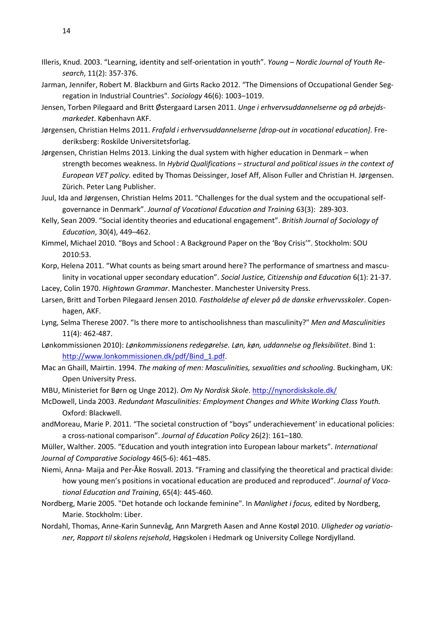- Illeris, Knud. 2003. "Learning, identity and self-orientation in youth". *Young – Nordic Journal of Youth Research*, 11(2): 357-376.
- Jarman, Jennifer, Robert M. Blackburn and Girts Racko 2012. "The Dimensions of Occupational Gender Segregation in Industrial Countries". *Sociology* 46(6): 1003–1019.
- Jensen, Torben Pilegaard and Britt Østergaard Larsen 2011. *Unge i erhvervsuddannelserne og på arbejdsmarkedet*. København AKF.
- Jørgensen, Christian Helms 2011. *Frafald i erhvervsuddannelserne [drop-out in vocational education]*. Frederiksberg: Roskilde Universitetsforlag.
- Jørgensen, Christian Helms 2013. Linking the dual system with higher education in Denmark when strength becomes weakness. In *Hybrid Qualifications – structural and political issues in the context of European VET policy*. edited by Thomas Deissinger, Josef Aff, Alison Fuller and Christian H. Jørgensen. Zürich. Peter Lang Publisher.
- Juul, Ida and Jørgensen, Christian Helms 2011. "Challenges for the dual system and the occupational selfgovernance in Denmark". *Journal of Vocational Education and Training* 63(3): 289-303.
- Kelly, Sean 2009. "Social identity theories and educational engagement". *British Journal of Sociology of Education*, 30(4), 449–462.
- Kimmel, Michael 2010. "Boys and School : A Background Paper on the 'Boy Crisis'". Stockholm: SOU 2010:53.
- Korp, Helena 2011. "What counts as being smart around here? The performance of smartness and masculinity in vocational upper secondary education". *Social Justice, Citizenship and Education* 6(1): 21-37.
- Lacey, Colin 1970. *Hightown Grammar*. Manchester. Manchester University Press.
- Larsen, Britt and Torben Pilegaard Jensen 2010. *Fastholdelse af elever på de danske erhvervsskoler*. Copenhagen, AKF.
- Lyng, Selma Therese 2007. "Is there more to antischoolishness than masculinity?" *Men and Masculinities* 11(4): 462-487.
- Lønkommissionen 2010): *Lønkommissionens redegørelse. Løn, køn, uddannelse og fleksibilitet*. Bind 1: [http://www.lonkommissionen.dk/pdf/Bind\\_1.pdf.](http://www.lonkommissionen.dk/pdf/Bind_1.pdf)
- Mac an Ghaill, Mairtin. 1994. *The making of men: Masculinities, sexualities and schooling*. Buckingham, UK: Open University Press.
- MBU, Ministeriet for Børn og Unge 2012). *Om Ny Nordisk Skole*.<http://nynordiskskole.dk/>
- McDowell, Linda 2003. *Redundant Masculinities: Employment Changes and White Working Class Youth.*  Oxford: Blackwell.
- andMoreau, Marie P. 2011. "The societal construction of "boys" underachievement' in educational policies: a cross‐national comparison". *Journal of Education Policy* 26(2): 161–180.
- Müller, Walther. 2005. "Education and youth integration into European labour markets". *International Journal of Comparative Sociology* 46(5-6): 461–485.
- Niemi, Anna- Maija and Per-Åke Rosvall. 2013. "Framing and classifying the theoretical and practical divide: how young men's positions in vocational education are produced and reproduced". *Journal of Vocational Education and Training*, 65(4): 445-460.
- Nordberg, Marie 2005. "Det hotande och lockande feminine". In *Manlighet i focus,* edited by Nordberg, Marie. Stockholm: Liber.
- Nordahl, Thomas, Anne-Karin Sunnevåg, Ann Margreth Aasen and Anne Kostøl 2010. *Uligheder og variationer, Rapport til skolens rejsehold*, Høgskolen i Hedmark og University College Nordjylland.